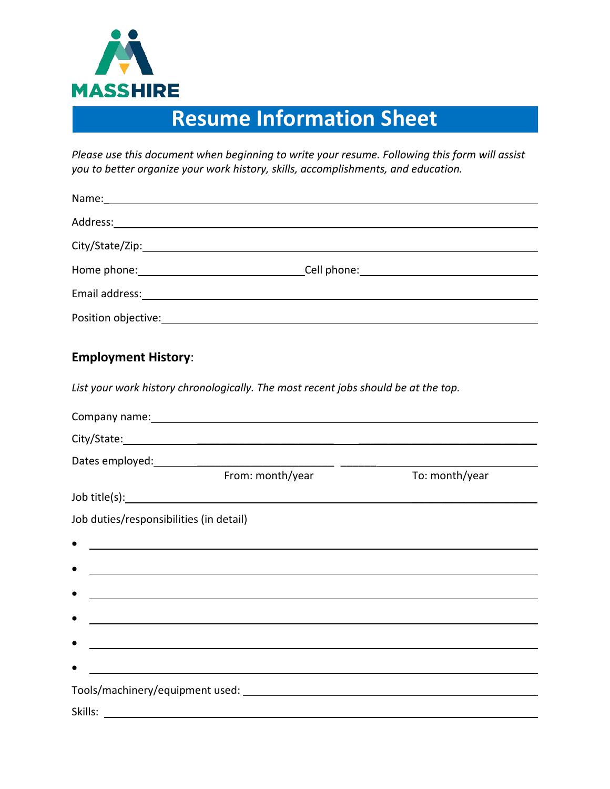

## **Resume Information Sheet**

*Please use this document when beginning to write your resume. Following this form will assist you to better organize your work history, skills, accomplishments, and education.*

| <b>Employment History:</b>              |                                                                                                                                                                                                                                      |                |
|-----------------------------------------|--------------------------------------------------------------------------------------------------------------------------------------------------------------------------------------------------------------------------------------|----------------|
|                                         | List your work history chronologically. The most recent jobs should be at the top.                                                                                                                                                   |                |
|                                         | Company name: example, and the same state of the state of the state of the state of the state of the state of                                                                                                                        |                |
|                                         |                                                                                                                                                                                                                                      |                |
|                                         |                                                                                                                                                                                                                                      |                |
|                                         | From: month/year                                                                                                                                                                                                                     | To: month/year |
|                                         | Job title(s): <u>the contract of the contract of the contract of the contract of the contract of the contract of the contract of the contract of the contract of the contract of the contract of the contract of the contract of</u> |                |
| Job duties/responsibilities (in detail) |                                                                                                                                                                                                                                      |                |
|                                         | <u> 1989 - Jan James James Barnett, fransk politik (d. 1989)</u>                                                                                                                                                                     |                |
|                                         | ,我们也不会有什么。""我们的人,我们也不会有什么?""我们的人,我们也不会有什么?""我们的人,我们也不会有什么?""我们的人,我们也不会有什么?""我们的人                                                                                                                                                     |                |
|                                         | and the control of the control of the control of the control of the control of the control of the control of the                                                                                                                     |                |
|                                         |                                                                                                                                                                                                                                      |                |
|                                         | and the control of the control of the control of the control of the control of the control of the control of the                                                                                                                     |                |
|                                         |                                                                                                                                                                                                                                      |                |
|                                         |                                                                                                                                                                                                                                      |                |
|                                         | Tools/machinery/equipment used:<br>                                                                                                                                                                                                  |                |
| Skills:                                 |                                                                                                                                                                                                                                      |                |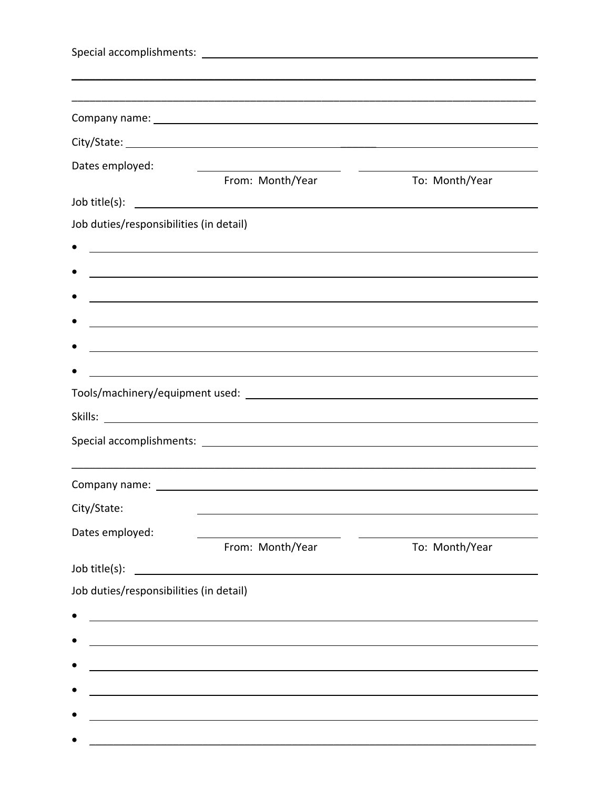| Dates employed:                         |                                                                                                                      |                |
|-----------------------------------------|----------------------------------------------------------------------------------------------------------------------|----------------|
|                                         | From: Month/Year                                                                                                     | To: Month/Year |
|                                         |                                                                                                                      |                |
| Job duties/responsibilities (in detail) |                                                                                                                      |                |
|                                         |                                                                                                                      |                |
|                                         |                                                                                                                      |                |
|                                         |                                                                                                                      |                |
|                                         |                                                                                                                      |                |
|                                         | and the control of the control of the control of the control of the control of the control of the control of the     |                |
|                                         | <u> 1980 - Johann Stein, marwolaethau a bhann an t-Amhair an t-Amhair an t-Amhair an t-Amhair an t-Amhair an t-A</u> |                |
|                                         |                                                                                                                      |                |
|                                         |                                                                                                                      |                |
|                                         |                                                                                                                      |                |
|                                         |                                                                                                                      |                |
| City/State:                             |                                                                                                                      |                |
| Dates employed:                         |                                                                                                                      |                |
|                                         | From: Month/Year                                                                                                     | To: Month/Year |
| Job title(s):                           | <u> 1980 - Jan Samuel Barbara, martin di</u>                                                                         |                |
| Job duties/responsibilities (in detail) |                                                                                                                      |                |
|                                         |                                                                                                                      |                |
|                                         | <u> 1989 - Johann Barbara, marka a shekara tsa 1989 - An tsa 1989 - An tsa 1989 - An tsa 1989 - An tsa 1989 - An</u> |                |
|                                         |                                                                                                                      |                |
|                                         |                                                                                                                      |                |
|                                         | <u> 1980 - John Stein, marking and de Britain and de Britain and de Britain and de Britain and de Britain and de</u> |                |
|                                         |                                                                                                                      |                |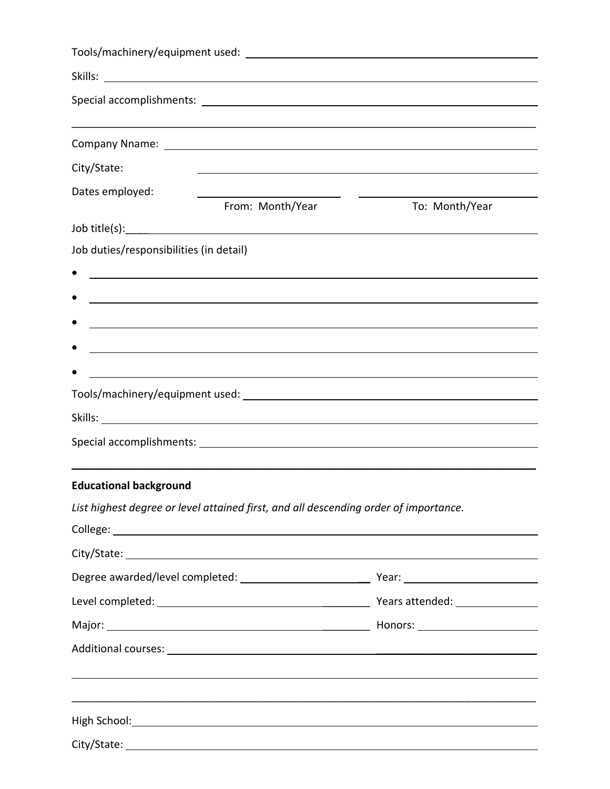| City/State:                             |                                                                                                                     |                                                                |
|-----------------------------------------|---------------------------------------------------------------------------------------------------------------------|----------------------------------------------------------------|
| Dates employed:                         |                                                                                                                     |                                                                |
|                                         | From: Month/Year                                                                                                    | To: Month/Year                                                 |
|                                         |                                                                                                                     |                                                                |
| Job duties/responsibilities (in detail) |                                                                                                                     |                                                                |
|                                         | <u> 1989 - Johann John Stoff, deutscher Stoffen und der Stoffen und der Stoffen und der Stoffen und der Stoffen</u> |                                                                |
|                                         |                                                                                                                     |                                                                |
|                                         |                                                                                                                     |                                                                |
|                                         |                                                                                                                     |                                                                |
|                                         | <u> 1989 - Johann Barn, mars et al. (b. 1989)</u>                                                                   |                                                                |
|                                         |                                                                                                                     |                                                                |
|                                         |                                                                                                                     |                                                                |
|                                         |                                                                                                                     |                                                                |
|                                         |                                                                                                                     |                                                                |
| <b>Educational background</b>           |                                                                                                                     |                                                                |
|                                         | List highest degree or level attained first, and all descending order of importance.                                |                                                                |
|                                         |                                                                                                                     |                                                                |
|                                         |                                                                                                                     |                                                                |
|                                         |                                                                                                                     |                                                                |
|                                         |                                                                                                                     |                                                                |
|                                         |                                                                                                                     |                                                                |
|                                         |                                                                                                                     |                                                                |
|                                         |                                                                                                                     | <u> 1989 - Andrea Barbara, Amerikaansk politiker (d. 1989)</u> |
|                                         |                                                                                                                     |                                                                |
|                                         |                                                                                                                     |                                                                |
|                                         |                                                                                                                     |                                                                |